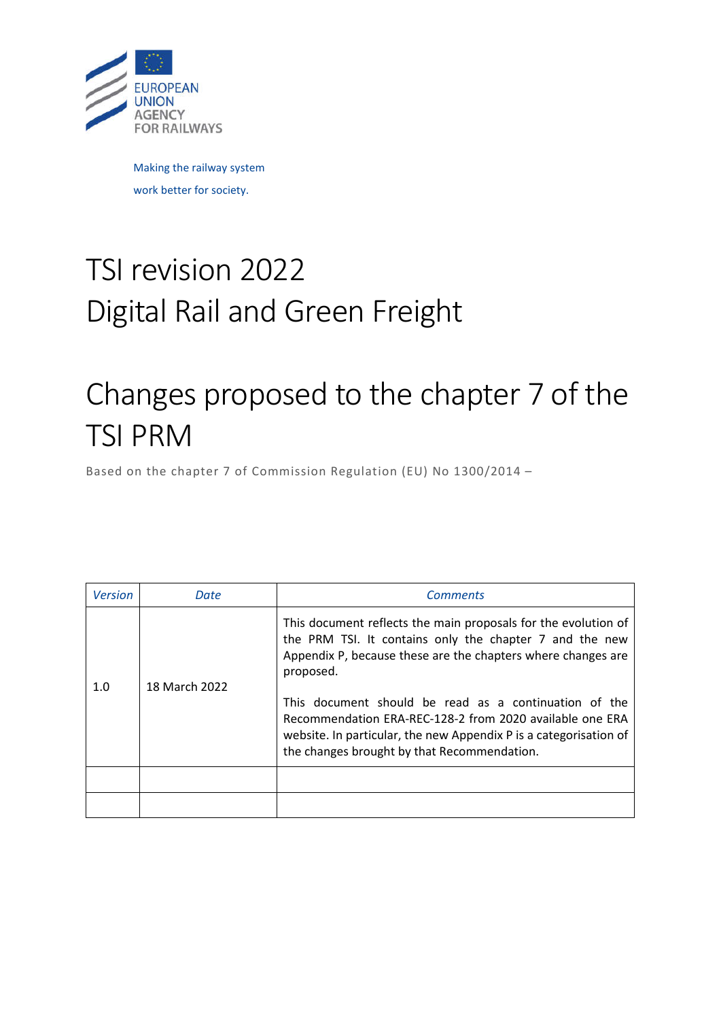

Making the railway system work better for society.

# TSI revision 2022 Digital Rail and Green Freight

# Changes proposed to the chapter 7 of the TSI PRM

Based on the chapter 7 of Commission Regulation (EU) No 1300/2014 –

| <b>Version</b> | Date          | <b>Comments</b>                                                                                                                                                                                                                                                                                                             |
|----------------|---------------|-----------------------------------------------------------------------------------------------------------------------------------------------------------------------------------------------------------------------------------------------------------------------------------------------------------------------------|
| 1.0            | 18 March 2022 | This document reflects the main proposals for the evolution of<br>the PRM TSI. It contains only the chapter 7 and the new<br>Appendix P, because these are the chapters where changes are<br>proposed.<br>This document should be read as a continuation of the<br>Recommendation ERA-REC-128-2 from 2020 available one ERA |
|                |               | website. In particular, the new Appendix P is a categorisation of<br>the changes brought by that Recommendation.                                                                                                                                                                                                            |
|                |               |                                                                                                                                                                                                                                                                                                                             |
|                |               |                                                                                                                                                                                                                                                                                                                             |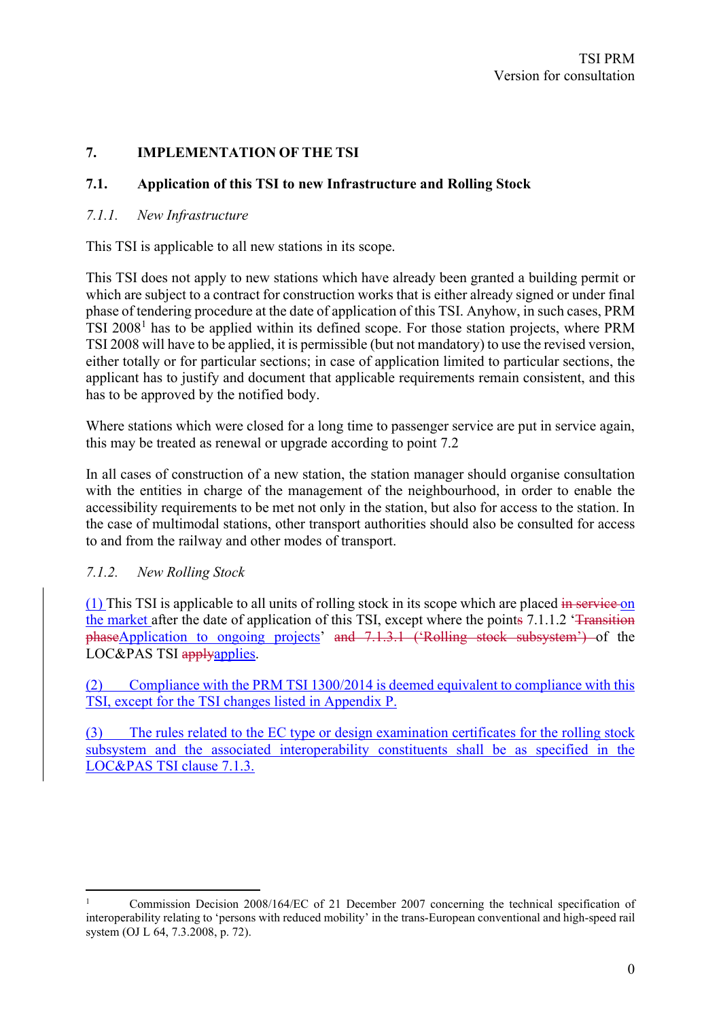# **7. IMPLEMENTATION OF THE TSI**

#### **7.1. Application of this TSI to new Infrastructure and Rolling Stock**

#### *7.1.1. New Infrastructure*

This TSI is applicable to all new stations in its scope.

This TSI does not apply to new stations which have already been granted a building permit or which are subject to a contract for construction works that is either already signed or under final phase of tendering procedure at the date of application of this TSI. Anyhow, in such cases, PRM TSI 2008<sup>1</sup> has to be applied within its defined scope. For those station projects, where PRM TSI 2008 will have to be applied, it is permissible (but not mandatory) to use the revised version, either totally or for particular sections; in case of application limited to particular sections, the applicant has to justify and document that applicable requirements remain consistent, and this has to be approved by the notified body.

Where stations which were closed for a long time to passenger service are put in service again, this may be treated as renewal or upgrade according to point 7.2

In all cases of construction of a new station, the station manager should organise consultation with the entities in charge of the management of the neighbourhood, in order to enable the accessibility requirements to be met not only in the station, but also for access to the station. In the case of multimodal stations, other transport authorities should also be consulted for access to and from the railway and other modes of transport.

#### *7.1.2. New Rolling Stock*

(1) This TSI is applicable to all units of rolling stock in its scope which are placed in service on the market after the date of application of this TSI, except where the points 7.1.1.2 '<del>Transition</del>' phaseApplication to ongoing projects' and 7.1.3.1 ('Rolling stock subsystem') of the LOC&PAS TSI applyapplies.

(2) Compliance with the PRM TSI 1300/2014 is deemed equivalent to compliance with this TSI, except for the TSI changes listed in Appendix P.

(3) The rules related to the EC type or design examination certificates for the rolling stock subsystem and the associated interoperability constituents shall be as specified in the LOC&PAS TSI clause 7.1.3.

<sup>1</sup> Commission Decision 2008/164/EC of 21 December 2007 concerning the technical specification of interoperability relating to 'persons with reduced mobility' in the trans-European conventional and high-speed rail system (OJ L 64, 7.3.2008, p. 72).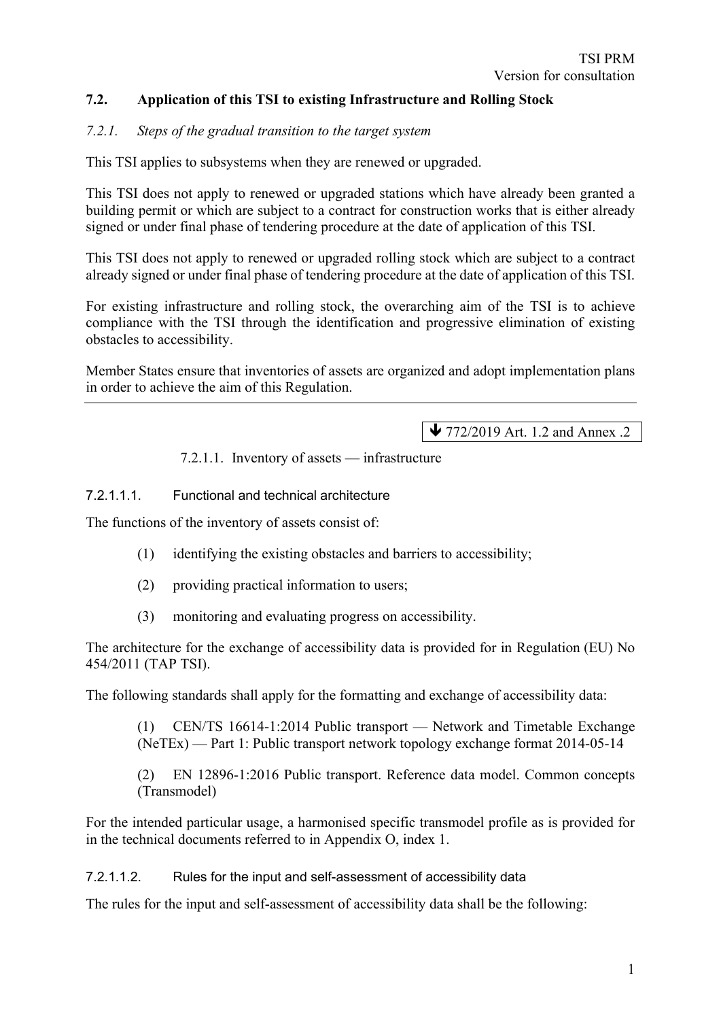# **7.2. Application of this TSI to existing Infrastructure and Rolling Stock**

#### *7.2.1. Steps of the gradual transition to the target system*

This TSI applies to subsystems when they are renewed or upgraded.

This TSI does not apply to renewed or upgraded stations which have already been granted a building permit or which are subject to a contract for construction works that is either already signed or under final phase of tendering procedure at the date of application of this TSI.

This TSI does not apply to renewed or upgraded rolling stock which are subject to a contract already signed or under final phase of tendering procedure at the date of application of this TSI.

For existing infrastructure and rolling stock, the overarching aim of the TSI is to achieve compliance with the TSI through the identification and progressive elimination of existing obstacles to accessibility.

Member States ensure that inventories of assets are organized and adopt implementation plans in order to achieve the aim of this Regulation.

◆ 772/2019 Art. 1.2 and Annex .2

7.2.1.1. Inventory of assets — infrastructure

7.2.1.1.1. Functional and technical architecture

The functions of the inventory of assets consist of:

- (1) identifying the existing obstacles and barriers to accessibility;
- (2) providing practical information to users;
- (3) monitoring and evaluating progress on accessibility.

The architecture for the exchange of accessibility data is provided for in Regulation (EU) No 454/2011 (TAP TSI).

The following standards shall apply for the formatting and exchange of accessibility data:

(1) CEN/TS 16614-1:2014 Public transport — Network and Timetable Exchange (NeTEx) — Part 1: Public transport network topology exchange format 2014-05-14

(2) EN 12896-1:2016 Public transport. Reference data model. Common concepts (Transmodel)

For the intended particular usage, a harmonised specific transmodel profile as is provided for in the technical documents referred to in Appendix O, index 1.

7.2.1.1.2. Rules for the input and self-assessment of accessibility data

The rules for the input and self-assessment of accessibility data shall be the following: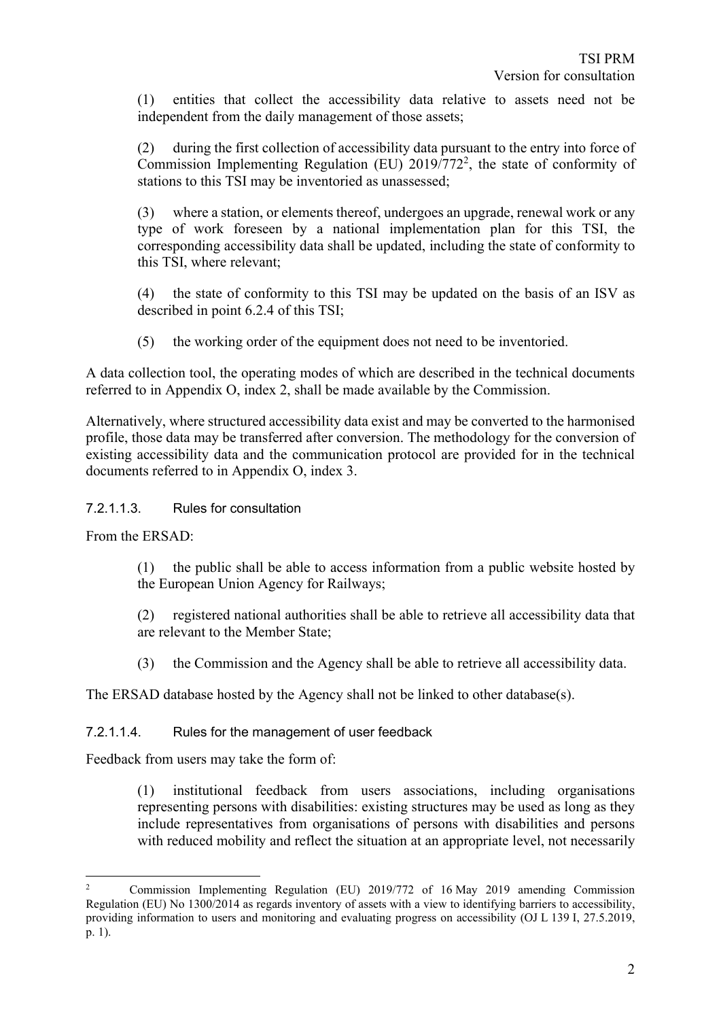(1) entities that collect the accessibility data relative to assets need not be independent from the daily management of those assets;

(2) during the first collection of accessibility data pursuant to the entry into force of Commission Implementing Regulation (EU)  $2019/772^2$ , the state of conformity of stations to this TSI may be inventoried as unassessed;

(3) where a station, or elements thereof, undergoes an upgrade, renewal work or any type of work foreseen by a national implementation plan for this TSI, the corresponding accessibility data shall be updated, including the state of conformity to this TSI, where relevant;

(4) the state of conformity to this TSI may be updated on the basis of an ISV as described in point 6.2.4 of this TSI;

(5) the working order of the equipment does not need to be inventoried.

A data collection tool, the operating modes of which are described in the technical documents referred to in Appendix O, index 2, shall be made available by the Commission.

Alternatively, where structured accessibility data exist and may be converted to the harmonised profile, those data may be transferred after conversion. The methodology for the conversion of existing accessibility data and the communication protocol are provided for in the technical documents referred to in Appendix O, index 3.

7.2.1.1.3. Rules for consultation

From the ERSAD:

(1) the public shall be able to access information from a public website hosted by the European Union Agency for Railways;

(2) registered national authorities shall be able to retrieve all accessibility data that are relevant to the Member State;

(3) the Commission and the Agency shall be able to retrieve all accessibility data.

The ERSAD database hosted by the Agency shall not be linked to other database(s).

#### 7.2.1.1.4. Rules for the management of user feedback

Feedback from users may take the form of:

(1) institutional feedback from users associations, including organisations representing persons with disabilities: existing structures may be used as long as they include representatives from organisations of persons with disabilities and persons with reduced mobility and reflect the situation at an appropriate level, not necessarily

<sup>&</sup>lt;sup>2</sup> Commission Implementing Regulation (EU) 2019/772 of 16 May 2019 amending Commission Regulation (EU) No 1300/2014 as regards inventory of assets with a view to identifying barriers to accessibility, providing information to users and monitoring and evaluating progress on accessibility (OJ L 139 I, 27.5.2019, p. 1).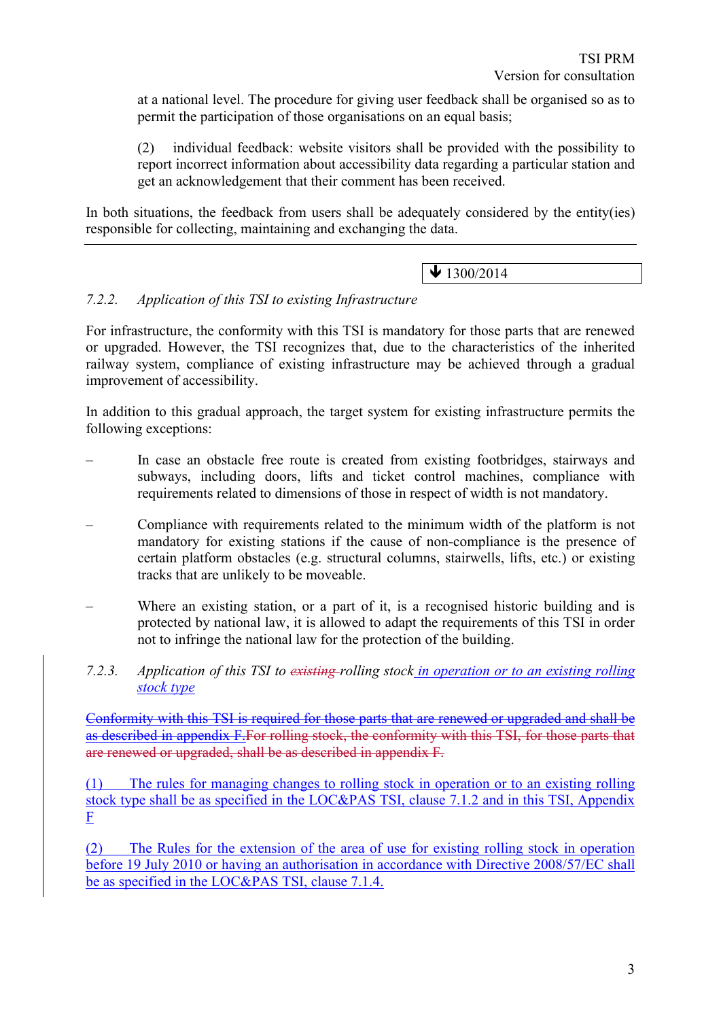at a national level. The procedure for giving user feedback shall be organised so as to permit the participation of those organisations on an equal basis;

(2) individual feedback: website visitors shall be provided with the possibility to report incorrect information about accessibility data regarding a particular station and get an acknowledgement that their comment has been received.

In both situations, the feedback from users shall be adequately considered by the entity(ies) responsible for collecting, maintaining and exchanging the data.

# $\bigvee$  1300/2014

# *7.2.2. Application of this TSI to existing Infrastructure*

For infrastructure, the conformity with this TSI is mandatory for those parts that are renewed or upgraded. However, the TSI recognizes that, due to the characteristics of the inherited railway system, compliance of existing infrastructure may be achieved through a gradual improvement of accessibility.

In addition to this gradual approach, the target system for existing infrastructure permits the following exceptions:

- In case an obstacle free route is created from existing footbridges, stairways and subways, including doors, lifts and ticket control machines, compliance with requirements related to dimensions of those in respect of width is not mandatory.
- Compliance with requirements related to the minimum width of the platform is not mandatory for existing stations if the cause of non-compliance is the presence of certain platform obstacles (e.g. structural columns, stairwells, lifts, etc.) or existing tracks that are unlikely to be moveable.
- Where an existing station, or a part of it, is a recognised historic building and is protected by national law, it is allowed to adapt the requirements of this TSI in order not to infringe the national law for the protection of the building.
- *7.2.3. Application of this TSI to existing rolling stock in operation or to an existing rolling stock type*

Conformity with this TSI is required for those parts that are renewed or upgraded and shall be as described in appendix F.For rolling stock, the conformity with this TSI, for those parts that are renewed or upgraded, shall be as described in appendix F.

(1) The rules for managing changes to rolling stock in operation or to an existing rolling stock type shall be as specified in the LOC&PAS TSI, clause 7.1.2 and in this TSI, Appendix F

(2) The Rules for the extension of the area of use for existing rolling stock in operation before 19 July 2010 or having an authorisation in accordance with Directive 2008/57/EC shall be as specified in the LOC&PAS TSI, clause 7.1.4.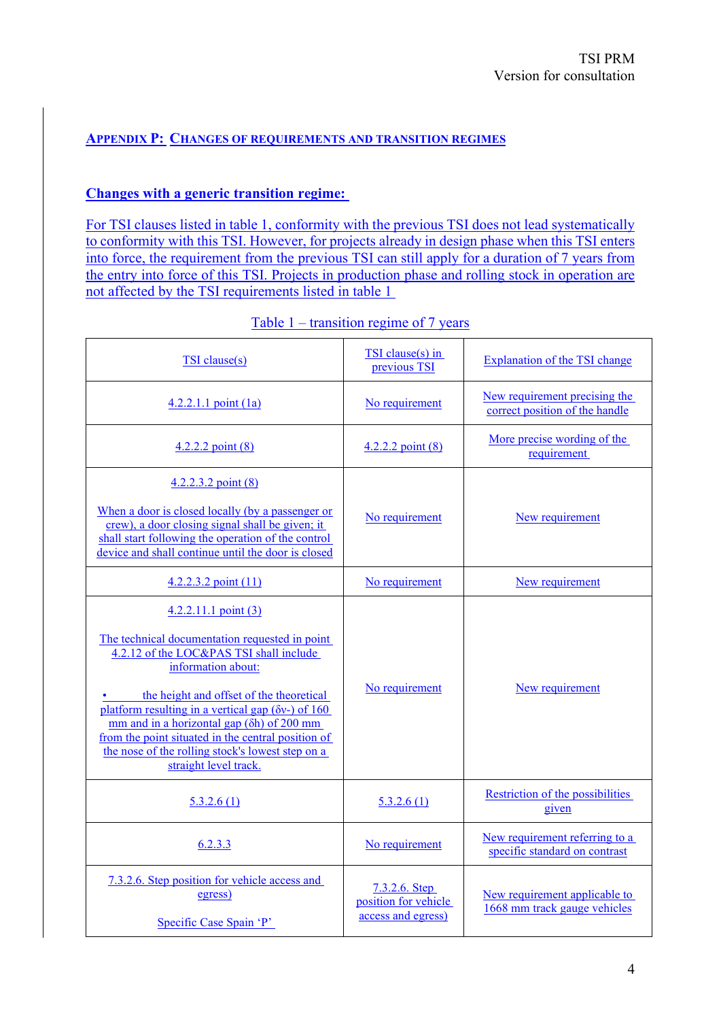# **APPENDIX P: CHANGES OF REQUIREMENTS AND TRANSITION REGIMES**

#### **Changes with a generic transition regime:**

For TSI clauses listed in table 1, conformity with the previous TSI does not lead systematically to conformity with this TSI. However, for projects already in design phase when this TSI enters into force, the requirement from the previous TSI can still apply for a duration of 7 years from the entry into force of this TSI. Projects in production phase and rolling stock in operation are not affected by the TSI requirements listed in table 1

| <b>TSI</b> clause(s)                                                                                                                                                                                                                                                                                                                                                                                                                         | TSI clause(s) in<br>previous TSI                            | <b>Explanation of the TSI change</b>                            |
|----------------------------------------------------------------------------------------------------------------------------------------------------------------------------------------------------------------------------------------------------------------------------------------------------------------------------------------------------------------------------------------------------------------------------------------------|-------------------------------------------------------------|-----------------------------------------------------------------|
| $4.2.2.1.1$ point (1a)                                                                                                                                                                                                                                                                                                                                                                                                                       | No requirement                                              | New requirement precising the<br>correct position of the handle |
| $4.2.2.2$ point $(8)$                                                                                                                                                                                                                                                                                                                                                                                                                        | $4.2.2.2$ point $(8)$                                       | More precise wording of the<br>requirement                      |
| $4.2.2.3.2$ point $(8)$<br>When a door is closed locally (by a passenger or<br>crew), a door closing signal shall be given; it<br>shall start following the operation of the control<br>device and shall continue until the door is closed                                                                                                                                                                                                   | No requirement                                              | New requirement                                                 |
| $4.2.2.3.2$ point $(11)$                                                                                                                                                                                                                                                                                                                                                                                                                     | No requirement                                              | New requirement                                                 |
| $4.2.2.11.1$ point (3)<br>The technical documentation requested in point<br>4.2.12 of the LOC&PAS TSI shall include<br>information about:<br>the height and offset of the theoretical<br>platform resulting in a vertical gap ( $\delta v$ -) of 160<br>mm and in a horizontal gap $(\delta h)$ of 200 mm<br>from the point situated in the central position of<br>the nose of the rolling stock's lowest step on a<br>straight level track. | No requirement                                              | New requirement                                                 |
| 5.3.2.6(1)                                                                                                                                                                                                                                                                                                                                                                                                                                   | 5.3.2.6(1)                                                  | Restriction of the possibilities<br>given                       |
| 6.2.3.3                                                                                                                                                                                                                                                                                                                                                                                                                                      | No requirement                                              | New requirement referring to a<br>specific standard on contrast |
| 7.3.2.6. Step position for vehicle access and<br>egress)<br>Specific Case Spain 'P'                                                                                                                                                                                                                                                                                                                                                          | 7.3.2.6. Step<br>position for vehicle<br>access and egress) | New requirement applicable to<br>1668 mm track gauge vehicles   |

| Table $1$ – transition regime of 7 years |  |  |
|------------------------------------------|--|--|
|                                          |  |  |